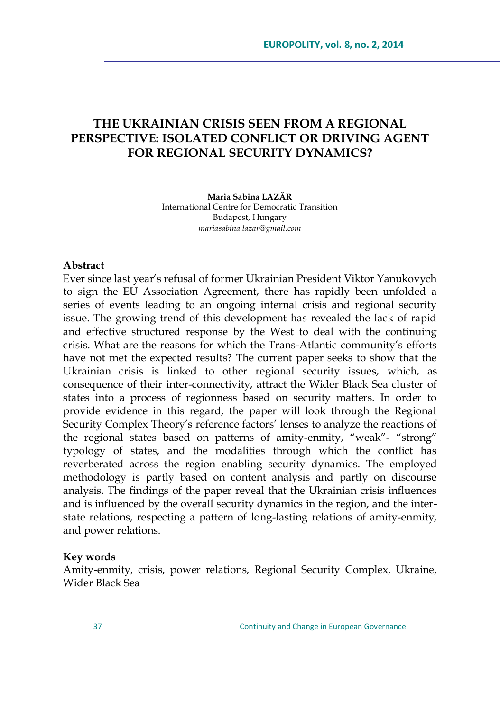# **THE UKRAINIAN CRISIS SEEN FROM A REGIONAL PERSPECTIVE: ISOLATED CONFLICT OR DRIVING AGENT FOR REGIONAL SECURITY DYNAMICS?**

**Maria Sabina LAZĂR** International Centre for Democratic Transition Budapest, Hungary *[mariasabina.lazar@gmail.com](mailto:mariasabina.lazar@gmail.com)*

#### **Abstract**

Ever since last year's refusal of former Ukrainian President Viktor Yanukovych to sign the EU Association Agreement, there has rapidly been unfolded a series of events leading to an ongoing internal crisis and regional security issue. The growing trend of this development has revealed the lack of rapid and effective structured response by the West to deal with the continuing crisis. What are the reasons for which the Trans-Atlantic community's efforts have not met the expected results? The current paper seeks to show that the Ukrainian crisis is linked to other regional security issues, which, as consequence of their inter-connectivity, attract the Wider Black Sea cluster of states into a process of regionness based on security matters. In order to provide evidence in this regard, the paper will look through the Regional Security Complex Theory's reference factors' lenses to analyze the reactions of the regional states based on patterns of amity-enmity, "weak"- "strong" typology of states, and the modalities through which the conflict has reverberated across the region enabling security dynamics. The employed methodology is partly based on content analysis and partly on discourse analysis. The findings of the paper reveal that the Ukrainian crisis influences and is influenced by the overall security dynamics in the region, and the interstate relations, respecting a pattern of long-lasting relations of amity-enmity, and power relations.

#### **Key words**

Amity-enmity, crisis, power relations, Regional Security Complex, Ukraine, Wider Black Sea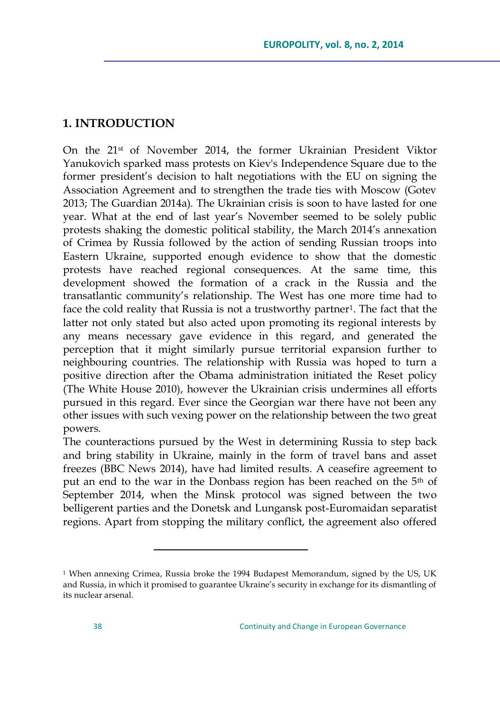### **1. INTRODUCTION**

On the 21st of November 2014, the former Ukrainian President Viktor Yanukovich sparked mass protests on Kiev's Independence Square due to the former president's decision to halt negotiations with the EU on signing the Association Agreement and to strengthen the trade ties with Moscow (Gotev 2013; The Guardian 2014a). The Ukrainian crisis is soon to have lasted for one year. What at the end of last year's November seemed to be solely public protests shaking the domestic political stability, the March 2014's annexation of Crimea by Russia followed by the action of sending Russian troops into Eastern Ukraine, supported enough evidence to show that the domestic protests have reached regional consequences. At the same time, this development showed the formation of a crack in the Russia and the transatlantic community's relationship. The West has one more time had to face the cold reality that Russia is not a trustworthy partner<sup>1</sup>. The fact that the latter not only stated but also acted upon promoting its regional interests by any means necessary gave evidence in this regard, and generated the perception that it might similarly pursue territorial expansion further to neighbouring countries. The relationship with Russia was hoped to turn a positive direction after the Obama administration initiated the Reset policy (The White House 2010), however the Ukrainian crisis undermines all efforts pursued in this regard. Ever since the Georgian war there have not been any other issues with such vexing power on the relationship between the two great powers.

The counteractions pursued by the West in determining Russia to step back and bring stability in Ukraine, mainly in the form of travel bans and asset freezes (BBC News 2014), have had limited results. A ceasefire agreement to put an end to the war in the Donbass region has been reached on the 5th of September 2014, when the Minsk protocol was signed between the two belligerent parties and the Donetsk and Lungansk post-Euromaidan separatist regions. Apart from stopping the military conflict, the agreement also offered

<sup>&</sup>lt;sup>1</sup> When annexing Crimea, Russia broke the 1994 Budapest Memorandum, signed by the US, UK and Russia, in which it promised to guarantee Ukraine's security in exchange for its dismantling of its nuclear arsenal.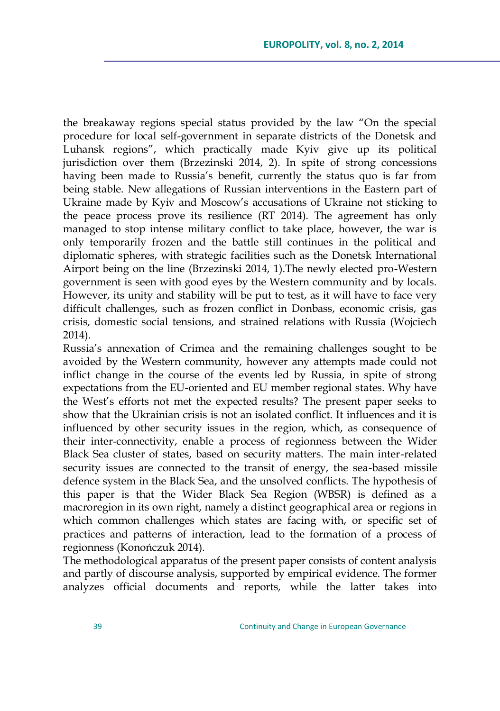the breakaway regions special status provided by the law "On the special procedure for local self-government in separate districts of the Donetsk and Luhansk regions", which practically made Kyiv give up its political jurisdiction over them (Brzezinski 2014, 2). In spite of strong concessions having been made to Russia's benefit, currently the status quo is far from being stable. New allegations of Russian interventions in the Eastern part of Ukraine made by Kyiv and Moscow's accusations of Ukraine not sticking to the peace process prove its resilience (RT 2014). The agreement has only managed to stop intense military conflict to take place, however, the war is only temporarily frozen and the battle still continues in the political and diplomatic spheres, with strategic facilities such as the Donetsk International Airport being on the line (Brzezinski 2014, 1).The newly elected pro-Western government is seen with good eyes by the Western community and by locals. However, its unity and stability will be put to test, as it will have to face very difficult challenges, such as frozen conflict in Donbass, economic crisis, gas crisis, domestic social tensions, and strained relations with Russia (Wojciech 2014).

Russia's annexation of Crimea and the remaining challenges sought to be avoided by the Western community, however any attempts made could not inflict change in the course of the events led by Russia, in spite of strong expectations from the EU-oriented and EU member regional states. Why have the West's efforts not met the expected results? The present paper seeks to show that the Ukrainian crisis is not an isolated conflict. It influences and it is influenced by other security issues in the region, which, as consequence of their inter-connectivity, enable a process of regionness between the Wider Black Sea cluster of states, based on security matters. The main inter-related security issues are connected to the transit of energy, the sea-based missile defence system in the Black Sea, and the unsolved conflicts. The hypothesis of this paper is that the Wider Black Sea Region (WBSR) is defined as a macroregion in its own right, namely a distinct geographical area or regions in which common challenges which states are facing with, or specific set of practices and patterns of interaction, lead to the formation of a process of regionness (Konończuk 2014).

The methodological apparatus of the present paper consists of content analysis and partly of discourse analysis, supported by empirical evidence. The former analyzes official documents and reports, while the latter takes into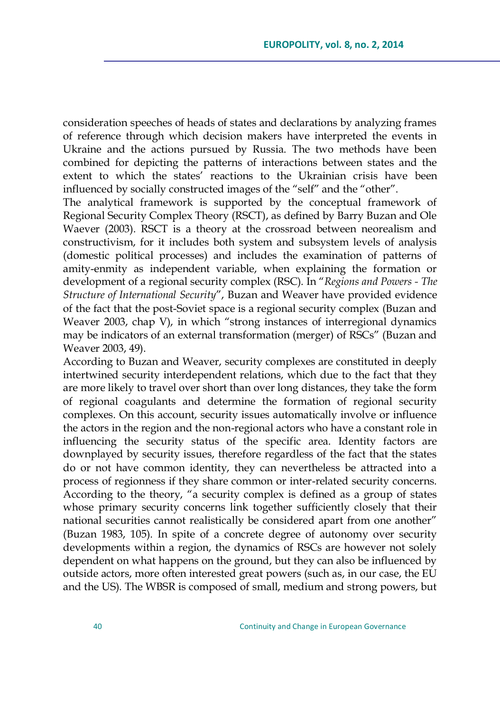consideration speeches of heads of states and declarations by analyzing frames of reference through which decision makers have interpreted the events in Ukraine and the actions pursued by Russia. The two methods have been combined for depicting the patterns of interactions between states and the extent to which the states' reactions to the Ukrainian crisis have been influenced by socially constructed images of the "self" and the "other".

The analytical framework is supported by the conceptual framework of Regional Security Complex Theory (RSCT), as defined by Barry Buzan and Ole Waever (2003). RSCT is a theory at the crossroad between neorealism and constructivism, for it includes both system and subsystem levels of analysis (domestic political processes) and includes the examination of patterns of amity-enmity as independent variable, when explaining the formation or development of a regional security complex (RSC). In "Regions and Powers - The *Structure of International Security*", Buzan and Weaver have provided evidence of the fact that the post-Soviet space is a regional security complex (Buzan and Weaver 2003, chap V), in which "strong instances of interregional dynamics may be indicators of an external transformation (merger) of RSCs" (Buzan and Weaver 2003, 49).

According to Buzan and Weaver, security complexes are constituted in deeply intertwined security interdependent relations, which due to the fact that they are more likely to travel over short than over long distances, they take the form of regional coagulants and determine the formation of regional security complexes. On this account, security issues automatically involve or influence the actors in the region and the non-regional actors who have a constant role in influencing the security status of the specific area. Identity factors are downplayed by security issues, therefore regardless of the fact that the states do or not have common identity, they can nevertheless be attracted into a process of regionness if they share common or inter-related security concerns. According to the theory, "a security complex is defined as a group of states whose primary security concerns link together sufficiently closely that their national securities cannot realistically be considered apart from one another" (Buzan 1983, 105). In spite of a concrete degree of autonomy over security developments within a region, the dynamics of RSCs are however not solely dependent on what happens on the ground, but they can also be influenced by outside actors, more often interested great powers (such as, in our case, the EU and the US). The WBSR is composed of small, medium and strong powers, but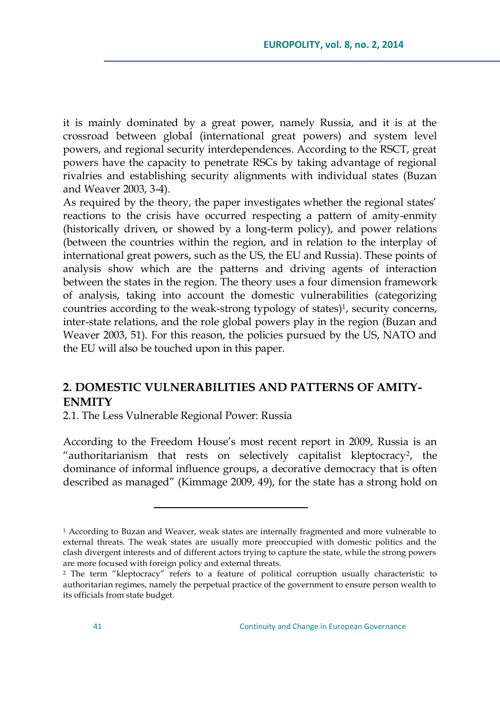it is mainly dominated by a great power, namely Russia, and it is at the crossroad between global (international great powers) and system level powers, and regional security interdependences. According to the RSCT, great powers have the capacity to penetrate RSCs by taking advantage of regional rivalries and establishing security alignments with individual states (Buzan and Weaver 2003, 3-4).

As required by the theory, the paper investigates whether the regional states' reactions to the crisis have occurred respecting a pattern of amity-enmity (historically driven, or showed by a long-term policy), and power relations (between the countries within the region, and in relation to the interplay of international great powers, such as the US, the EU and Russia). These points of analysis show which are the patterns and driving agents of interaction between the states in the region. The theory uses a four dimension framework of analysis, taking into account the domestic vulnerabilities (categorizing countries according to the weak-strong typology of states) $\frac{1}{2}$ , security concerns, inter-state relations, and the role global powers play in the region (Buzan and Weaver 2003, 51). For this reason, the policies pursued by the US, NATO and the EU will also be touched upon in this paper.

## **2. DOMESTIC VULNERABILITIES AND PATTERNS OF AMITY-ENMITY**

2.1. The Less Vulnerable Regional Power: Russia

 $\overline{a}$ 

According to the Freedom House's most recent report in 2009, Russia is an "authoritarianism that rests on selectively capitalist kleptocracy<sup>2</sup>, the dominance of informal influence groups, a decorative democracy that is often described as managed" (Kimmage 2009, 49), for the state has a strong hold on

<sup>&</sup>lt;sup>1</sup> According to Buzan and Weaver, weak states are internally fragmented and more vulnerable to external threats. The weak states are usually more preoccupied with domestic politics and the clash divergent interests and of different actors trying to capture the state, while the strong powers are more focused with foreign policy and external threats.

<sup>&</sup>lt;sup>2</sup> The term "kleptocracy" refers to a feature of political corruption usually characteristic to authoritarian regimes, namely the perpetual practice of the government to ensure person wealth to its officials from state budget.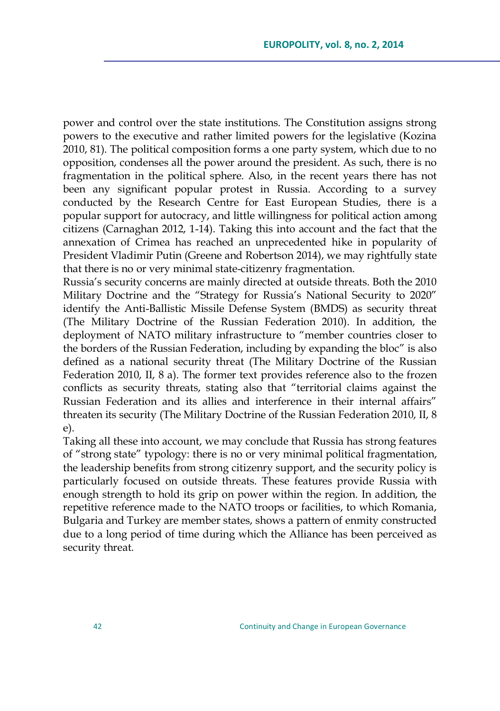power and control over the state institutions. The Constitution assigns strong powers to the executive and rather limited powers for the legislative (Kozina 2010, 81). The political composition forms a one party system, which due to no opposition, condenses all the power around the president. As such, there is no fragmentation in the political sphere. Also, in the recent years there has not been any significant popular protest in Russia. According to a survey conducted by the Research Centre for East European Studies, there is a popular support for autocracy, and little willingness for political action among citizens (Carnaghan 2012, 1-14). Taking this into account and the fact that the annexation of Crimea has reached an unprecedented hike in popularity of President Vladimir Putin (Greene and Robertson 2014), we may rightfully state that there is no or very minimal state-citizenry fragmentation.

Russia's security concerns are mainly directed at outside threats. Both the 2010 Military Doctrine and the "Strategy for Russia's National Security to 2020" identify the Anti-Ballistic Missile Defense System (BMDS) as security threat (The Military Doctrine of the Russian Federation 2010). In addition, the deployment of NATO military infrastructure to "member countries closer to the borders of the Russian Federation, including by expanding the bloc" is also defined as a national security threat (The Military Doctrine of the Russian Federation 2010, II, 8 a). The former text provides reference also to the frozen conflicts as security threats, stating also that "territorial claims against the Russian Federation and its allies and interference in their internal affairs" threaten its security (The Military Doctrine of the Russian Federation 2010, II, 8 e).

Taking all these into account, we may conclude that Russia has strong features of "strong state" typology: there is no or very minimal political fragmentation, the leadership benefits from strong citizenry support, and the security policy is particularly focused on outside threats. These features provide Russia with enough strength to hold its grip on power within the region. In addition, the repetitive reference made to the NATO troops or facilities, to which Romania, Bulgaria and Turkey are member states, shows a pattern of enmity constructed due to a long period of time during which the Alliance has been perceived as security threat.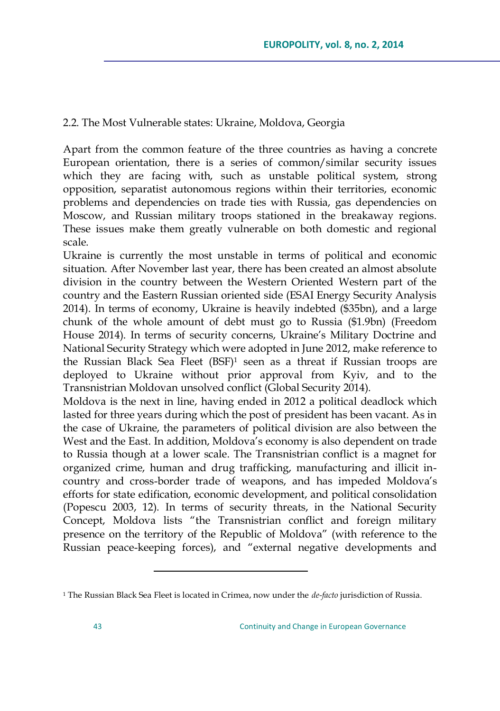### 2.2. The Most Vulnerable states: Ukraine, Moldova, Georgia

Apart from the common feature of the three countries as having a concrete European orientation, there is a series of common/similar security issues which they are facing with, such as unstable political system, strong opposition, separatist autonomous regions within their territories, economic problems and dependencies on trade ties with Russia, gas dependencies on Moscow, and Russian military troops stationed in the breakaway regions. These issues make them greatly vulnerable on both domestic and regional scale.

Ukraine is currently the most unstable in terms of political and economic situation. After November last year, there has been created an almost absolute division in the country between the Western Oriented Western part of the country and the Eastern Russian oriented side (ESAI Energy Security Analysis 2014). In terms of economy, Ukraine is heavily indebted (\$35bn), and a large chunk of the whole amount of debt must go to Russia (\$1.9bn) (Freedom House 2014). In terms of security concerns, Ukraine's Military Doctrine and National Security Strategy which were adopted in June 2012, make reference to the Russian Black Sea Fleet (BSF)<sup>1</sup> seen as a threat if Russian troops are deployed to Ukraine without prior approval from Kyiv, and to the Transnistrian Moldovan unsolved conflict (Global Security 2014).

Moldova is the next in line, having ended in 2012 a political deadlock which lasted for three years during which the post of president has been vacant. As in the case of Ukraine, the parameters of political division are also between the West and the East. In addition, Moldova's economy is also dependent on trade to Russia though at a lower scale. The Transnistrian conflict is a magnet for organized crime, human and drug trafficking, manufacturing and illicit incountry and cross-border trade of weapons, and has impeded Moldova's efforts for state edification, economic development, and political consolidation (Popescu 2003, 12). In terms of security threats, in the National Security Concept, Moldova lists "the Transnistrian conflict and foreign military presence on the territory of the Republic of Moldova" (with reference to the Russian peace-keeping forces), and "external negative developments and

<sup>1</sup> The Russian Black Sea Fleet is located in Crimea, now under the *de-facto* jurisdiction of Russia.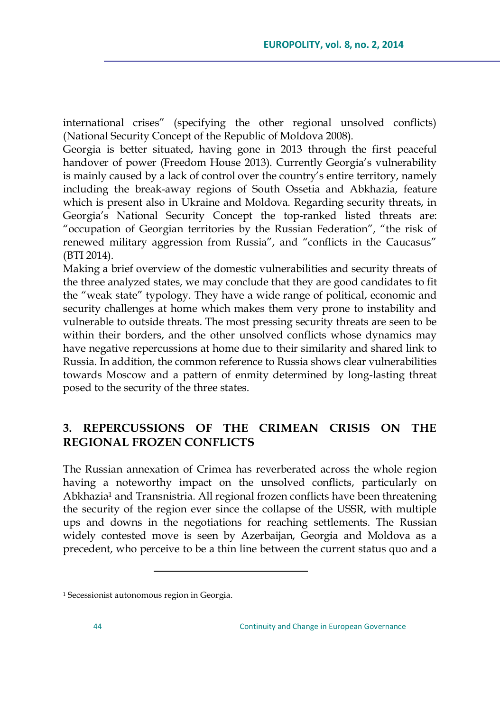international crises‖ (specifying the other regional unsolved conflicts) (National Security Concept of the Republic of Moldova 2008).

Georgia is better situated, having gone in 2013 through the first peaceful handover of power (Freedom House 2013). Currently Georgia's vulnerability is mainly caused by a lack of control over the country's entire territory, namely including the break-away regions of South Ossetia and Abkhazia, feature which is present also in Ukraine and Moldova. Regarding security threats, in Georgia's National Security Concept the top-ranked listed threats are: "occupation of Georgian territories by the Russian Federation", "the risk of renewed military aggression from Russia", and "conflicts in the Caucasus" (BTI 2014).

Making a brief overview of the domestic vulnerabilities and security threats of the three analyzed states, we may conclude that they are good candidates to fit the "weak state" typology. They have a wide range of political, economic and security challenges at home which makes them very prone to instability and vulnerable to outside threats. The most pressing security threats are seen to be within their borders, and the other unsolved conflicts whose dynamics may have negative repercussions at home due to their similarity and shared link to Russia. In addition, the common reference to Russia shows clear vulnerabilities towards Moscow and a pattern of enmity determined by long-lasting threat posed to the security of the three states.

# **3. REPERCUSSIONS OF THE CRIMEAN CRISIS ON THE REGIONAL FROZEN CONFLICTS**

The Russian annexation of Crimea has reverberated across the whole region having a noteworthy impact on the unsolved conflicts, particularly on Abkhazia<sup>1</sup> and Transnistria. All regional frozen conflicts have been threatening the security of the region ever since the collapse of the USSR, with multiple ups and downs in the negotiations for reaching settlements. The Russian widely contested move is seen by Azerbaijan, Georgia and Moldova as a precedent, who perceive to be a thin line between the current status quo and a

<sup>&</sup>lt;sup>1</sup> Secessionist autonomous region in Georgia.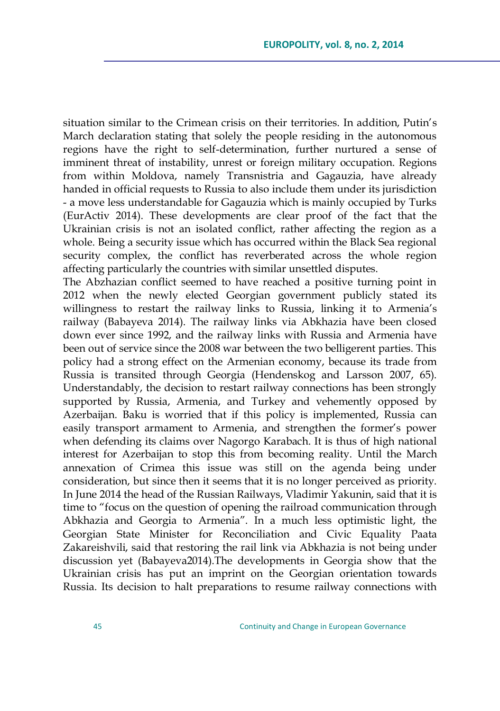situation similar to the Crimean crisis on their territories. In addition, Putin's March declaration stating that solely the people residing in the autonomous regions have the right to self-determination, further nurtured a sense of imminent threat of instability, unrest or foreign military occupation. Regions from within Moldova, namely Transnistria and Gagauzia, have already handed in official requests to Russia to also include them under its jurisdiction - a move less understandable for Gagauzia which is mainly occupied by Turks (EurActiv 2014). These developments are clear proof of the fact that the Ukrainian crisis is not an isolated conflict, rather affecting the region as a whole. Being a security issue which has occurred within the Black Sea regional security complex, the conflict has reverberated across the whole region affecting particularly the countries with similar unsettled disputes.

The Abzhazian conflict seemed to have reached a positive turning point in 2012 when the newly elected Georgian government publicly stated its willingness to restart the railway links to Russia, linking it to Armenia's railway (Babayeva 2014). The railway links via Abkhazia have been closed down ever since 1992, and the railway links with Russia and Armenia have been out of service since the 2008 war between the two belligerent parties. This policy had a strong effect on the Armenian economy, because its trade from Russia is transited through Georgia (Hendenskog and Larsson 2007, 65). Understandably, the decision to restart railway connections has been strongly supported by Russia, Armenia, and Turkey and vehemently opposed by Azerbaijan. Baku is worried that if this policy is implemented, Russia can easily transport armament to Armenia, and strengthen the former's power when defending its claims over Nagorgo Karabach. It is thus of high national interest for Azerbaijan to stop this from becoming reality. Until the March annexation of Crimea this issue was still on the agenda being under consideration, but since then it seems that it is no longer perceived as priority. In June 2014 the head of the Russian Railways, Vladimir Yakunin, said that it is time to "focus on the question of opening the railroad communication through Abkhazia and Georgia to Armenia". In a much less optimistic light, the Georgian State Minister for Reconciliation and Civic Equality Paata Zakareishvili, said that restoring the rail link via Abkhazia is not being under discussion yet (Babayeva2014).The developments in Georgia show that the Ukrainian crisis has put an imprint on the Georgian orientation towards Russia. Its decision to halt preparations to resume railway connections with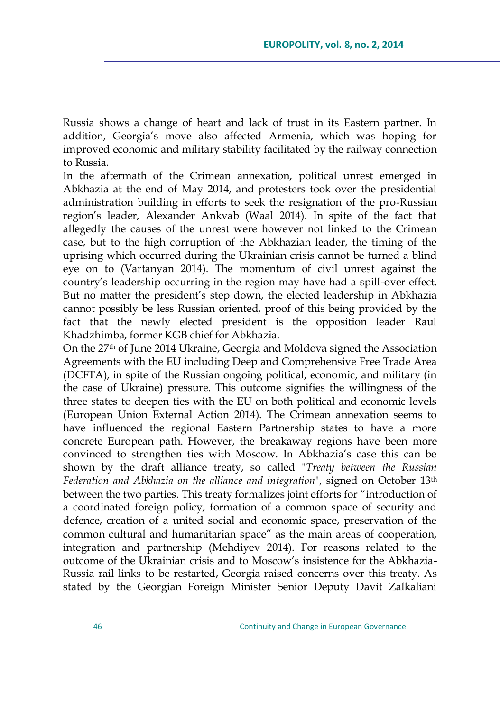Russia shows a change of heart and lack of trust in its Eastern partner. In addition, Georgia's move also affected Armenia, which was hoping for improved economic and military stability facilitated by the railway connection to Russia.

In the aftermath of the Crimean annexation, political unrest emerged in Abkhazia at the end of May 2014, and protesters took over the presidential administration building in efforts to seek the resignation of the pro-Russian region's leader, Alexander Ankvab (Waal 2014). In spite of the fact that allegedly the causes of the unrest were however not linked to the Crimean case, but to the high corruption of the Abkhazian leader, the timing of the uprising which occurred during the Ukrainian crisis cannot be turned a blind eye on to (Vartanyan 2014). The momentum of civil unrest against the country's leadership occurring in the region may have had a spill-over effect. But no matter the president's step down, the elected leadership in Abkhazia cannot possibly be less Russian oriented, proof of this being provided by the fact that the newly elected president is the opposition leader Raul Khadzhimba, former KGB chief for Abkhazia.

On the 27th of June 2014 Ukraine, Georgia and Moldova signed the Association Agreements with the EU including Deep and Comprehensive Free Trade Area (DCFTA), in spite of the Russian ongoing political, economic, and military (in the case of Ukraine) pressure. This outcome signifies the willingness of the three states to deepen ties with the EU on both political and economic levels (European Union External Action 2014). The Crimean annexation seems to have influenced the regional Eastern Partnership states to have a more concrete European path. However, the breakaway regions have been more convinced to strengthen ties with Moscow. In Abkhazia's case this can be shown by the draft alliance treaty, so called "*Treaty between the Russian Federation and Abkhazia on the alliance and integration*", signed on October 13th between the two parties. This treaty formalizes joint efforts for "introduction of a coordinated foreign policy, formation of a common space of security and defence, creation of a united social and economic space, preservation of the common cultural and humanitarian space" as the main areas of cooperation, integration and partnership (Mehdiyev 2014). For reasons related to the outcome of the Ukrainian crisis and to Moscow's insistence for the Abkhazia-Russia rail links to be restarted, Georgia raised concerns over this treaty. As stated by the Georgian Foreign Minister Senior Deputy Davit Zalkaliani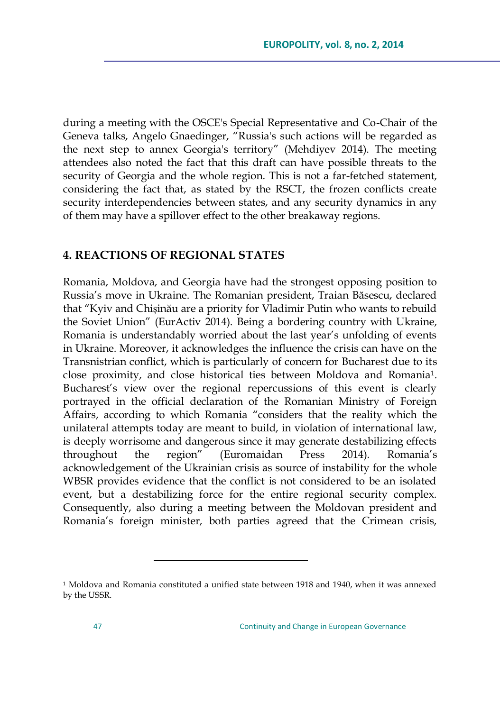during a meeting with the OSCE's Special Representative and Co-Chair of the Geneva talks, Angelo Gnaedinger, "Russia's such actions will be regarded as the next step to annex Georgia's territory" (Mehdiyev 2014). The meeting attendees also noted the fact that this draft can have possible threats to the security of Georgia and the whole region. This is not a far-fetched statement, considering the fact that, as stated by the RSCT, the frozen conflicts create security interdependencies between states, and any security dynamics in any of them may have a spillover effect to the other breakaway regions.

#### **4. REACTIONS OF REGIONAL STATES**

Romania, Moldova, and Georgia have had the strongest opposing position to Russia's move in Ukraine. The Romanian president, Traian Băsescu, declared that ―Kyiv and Chișinău are a priority for Vladimir Putin who wants to rebuild the Soviet Union" (EurActiv 2014). Being a bordering country with Ukraine, Romania is understandably worried about the last year's unfolding of events in Ukraine. Moreover, it acknowledges the influence the crisis can have on the Transnistrian conflict, which is particularly of concern for Bucharest due to its close proximity, and close historical ties between Moldova and Romania1. Bucharest's view over the regional repercussions of this event is clearly portrayed in the official declaration of the Romanian Ministry of Foreign Affairs, according to which Romania "considers that the reality which the unilateral attempts today are meant to build, in violation of international law, is deeply worrisome and dangerous since it may generate destabilizing effects throughout the region‖ (Euromaidan Press 2014). Romania's acknowledgement of the Ukrainian crisis as source of instability for the whole WBSR provides evidence that the conflict is not considered to be an isolated event, but a destabilizing force for the entire regional security complex. Consequently, also during a meeting between the Moldovan president and Romania's foreign minister, both parties agreed that the Crimean crisis,

<sup>&</sup>lt;sup>1</sup> Moldova and Romania constituted a unified state between 1918 and 1940, when it was annexed by the USSR.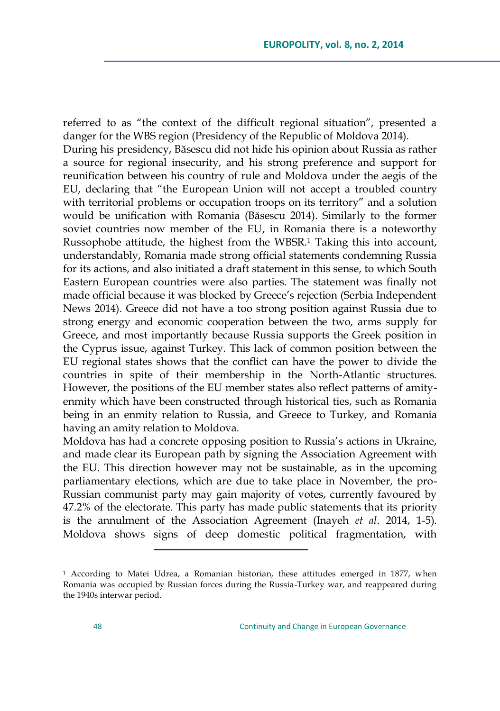referred to as "the context of the difficult regional situation", presented a danger for the WBS region (Presidency of the Republic of Moldova 2014). During his presidency, Băsescu did not hide his opinion about Russia as rather a source for regional insecurity, and his strong preference and support for reunification between his country of rule and Moldova under the aegis of the EU, declaring that "the European Union will not accept a troubled country with territorial problems or occupation troops on its territory" and a solution would be unification with Romania (Băsescu 2014). Similarly to the former soviet countries now member of the EU, in Romania there is a noteworthy Russophobe attitude, the highest from the WBSR.<sup>1</sup> Taking this into account, understandably, Romania made strong official statements condemning Russia for its actions, and also initiated a draft statement in this sense, to which South Eastern European countries were also parties. The statement was finally not made official because it was blocked by Greece's rejection (Serbia Independent News 2014). Greece did not have a too strong position against Russia due to strong energy and economic cooperation between the two, arms supply for Greece, and most importantly because Russia supports the Greek position in the Cyprus issue, against Turkey. This lack of common position between the EU regional states shows that the conflict can have the power to divide the countries in spite of their membership in the North-Atlantic structures. However, the positions of the EU member states also reflect patterns of amityenmity which have been constructed through historical ties, such as Romania being in an enmity relation to Russia, and Greece to Turkey, and Romania having an amity relation to Moldova.

Moldova has had a concrete opposing position to Russia's actions in Ukraine, and made clear its European path by signing the Association Agreement with the EU. This direction however may not be sustainable, as in the upcoming parliamentary elections, which are due to take place in November, the pro-Russian communist party may gain majority of votes, currently favoured by 47.2% of the electorate. This party has made public statements that its priority is the annulment of the Association Agreement (Inayeh *et al*. 2014, 1-5). Moldova shows signs of deep domestic political fragmentation, with

<sup>&</sup>lt;sup>1</sup> According to Matei Udrea, a Romanian historian, these attitudes emerged in 1877, when Romania was occupied by Russian forces during the Russia-Turkey war, and reappeared during the 1940s interwar period.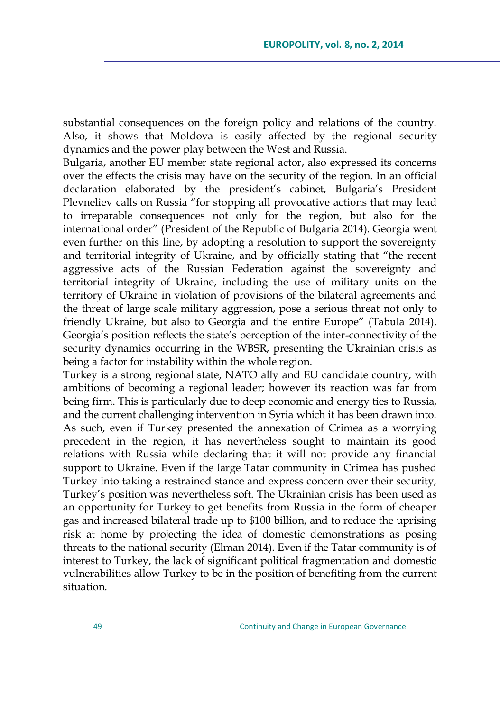substantial consequences on the foreign policy and relations of the country. Also, it shows that Moldova is easily affected by the regional security dynamics and the power play between the West and Russia.

Bulgaria, another EU member state regional actor, also expressed its concerns over the effects the crisis may have on the security of the region. In an official declaration elaborated by the president's cabinet, Bulgaria's President Plevneliev calls on Russia "for stopping all provocative actions that may lead to irreparable consequences not only for the region, but also for the international order" (President of the Republic of Bulgaria 2014). Georgia went even further on this line, by adopting a resolution to support the sovereignty and territorial integrity of Ukraine, and by officially stating that "the recent aggressive acts of the Russian Federation against the sovereignty and territorial integrity of Ukraine, including the use of military units on the territory of Ukraine in violation of provisions of the bilateral agreements and the threat of large scale military aggression, pose a serious threat not only to friendly Ukraine, but also to Georgia and the entire Europe" (Tabula 2014). Georgia's position reflects the state's perception of the inter-connectivity of the security dynamics occurring in the WBSR, presenting the Ukrainian crisis as being a factor for instability within the whole region.

Turkey is a strong regional state, NATO ally and EU candidate country, with ambitions of becoming a regional leader; however its reaction was far from being firm. This is particularly due to deep economic and energy ties to Russia, and the current challenging intervention in Syria which it has been drawn into. As such, even if Turkey presented the annexation of Crimea as a worrying precedent in the region, it has nevertheless sought to maintain its good relations with Russia while declaring that it will not provide any financial support to Ukraine. Even if the large Tatar community in Crimea has pushed Turkey into taking a restrained stance and express concern over their security, Turkey's position was nevertheless soft. The Ukrainian crisis has been used as an opportunity for Turkey to get benefits from Russia in the form of cheaper gas and increased bilateral trade up to \$100 billion, and to reduce the uprising risk at home by projecting the idea of domestic demonstrations as posing threats to the national security (Elman 2014). Even if the Tatar community is of interest to Turkey, the lack of significant political fragmentation and domestic vulnerabilities allow Turkey to be in the position of benefiting from the current situation.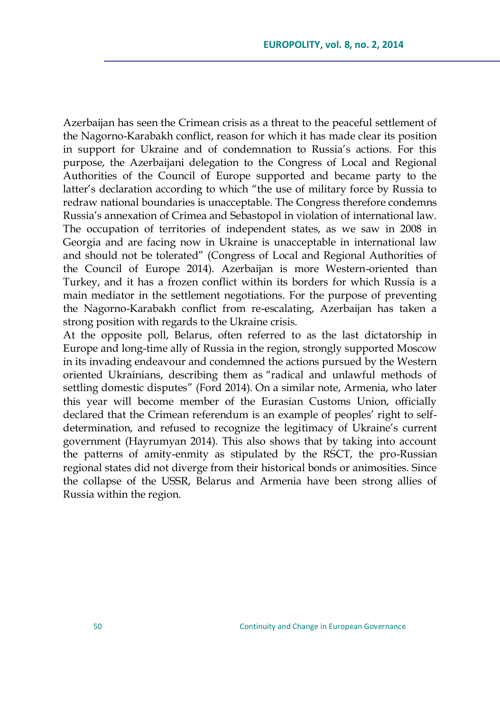Azerbaijan has seen the Crimean crisis as a threat to the peaceful settlement of the Nagorno-Karabakh conflict, reason for which it has made clear its position in support for Ukraine and of condemnation to Russia's actions. For this purpose, the Azerbaijani delegation to the Congress of Local and Regional Authorities of the Council of Europe supported and became party to the latter's declaration according to which "the use of military force by Russia to redraw national boundaries is unacceptable. The Congress therefore condemns Russia's annexation of Crimea and Sebastopol in violation of international law. The occupation of territories of independent states, as we saw in 2008 in Georgia and are facing now in Ukraine is unacceptable in international law and should not be tolerated" (Congress of Local and Regional Authorities of the Council of Europe 2014). Azerbaijan is more Western-oriented than Turkey, and it has a frozen conflict within its borders for which Russia is a main mediator in the settlement negotiations. For the purpose of preventing the Nagorno-Karabakh conflict from re-escalating, Azerbaijan has taken a strong position with regards to the Ukraine crisis.

At the opposite poll, Belarus, often referred to as the last dictatorship in Europe and long-time ally of Russia in the region, strongly supported Moscow in its invading endeavour and condemned the actions pursued by the Western oriented Ukrainians, describing them as "radical and unlawful methods of settling domestic disputes" (Ford 2014). On a similar note, Armenia, who later this year will become member of the Eurasian Customs Union, officially declared that the Crimean referendum is an example of peoples' right to selfdetermination, and refused to recognize the legitimacy of Ukraine's current government (Hayrumyan 2014). This also shows that by taking into account the patterns of amity-enmity as stipulated by the RSCT, the pro-Russian regional states did not diverge from their historical bonds or animosities. Since the collapse of the USSR, Belarus and Armenia have been strong allies of Russia within the region.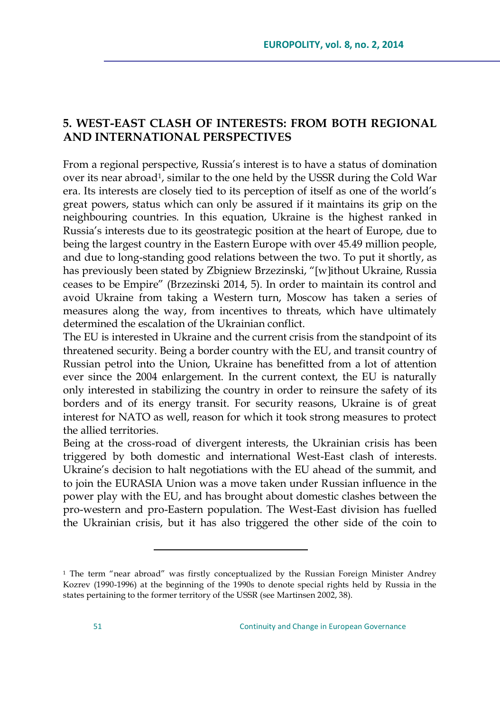# **5. WEST-EAST CLASH OF INTERESTS: FROM BOTH REGIONAL AND INTERNATIONAL PERSPECTIVES**

From a regional perspective, Russia's interest is to have a status of domination over its near abroad<sup>1</sup>, similar to the one held by the USSR during the Cold War era. Its interests are closely tied to its perception of itself as one of the world's great powers, status which can only be assured if it maintains its grip on the neighbouring countries. In this equation, Ukraine is the highest ranked in Russia's interests due to its geostrategic position at the heart of Europe, due to being the largest country in the Eastern Europe with over 45.49 million people, and due to long-standing good relations between the two. To put it shortly, as has previously been stated by Zbigniew Brzezinski, "[w]ithout Ukraine, Russia ceases to be Empire" (Brzezinski 2014, 5). In order to maintain its control and avoid Ukraine from taking a Western turn, Moscow has taken a series of measures along the way, from incentives to threats, which have ultimately determined the escalation of the Ukrainian conflict.

The EU is interested in Ukraine and the current crisis from the standpoint of its threatened security. Being a border country with the EU, and transit country of Russian petrol into the Union, Ukraine has benefitted from a lot of attention ever since the 2004 enlargement. In the current context, the EU is naturally only interested in stabilizing the country in order to reinsure the safety of its borders and of its energy transit. For security reasons, Ukraine is of great interest for NATO as well, reason for which it took strong measures to protect the allied territories.

Being at the cross-road of divergent interests, the Ukrainian crisis has been triggered by both domestic and international West-East clash of interests. Ukraine's decision to halt negotiations with the EU ahead of the summit, and to join the EURASIA Union was a move taken under Russian influence in the power play with the EU, and has brought about domestic clashes between the pro-western and pro-Eastern population. The West-East division has fuelled the Ukrainian crisis, but it has also triggered the other side of the coin to

<sup>&</sup>lt;sup>1</sup> The term "near abroad" was firstly conceptualized by the Russian Foreign Minister Andrey Kozrev (1990-1996) at the beginning of the 1990s to denote special rights held by Russia in the states pertaining to the former territory of the USSR (see Martinsen 2002, 38).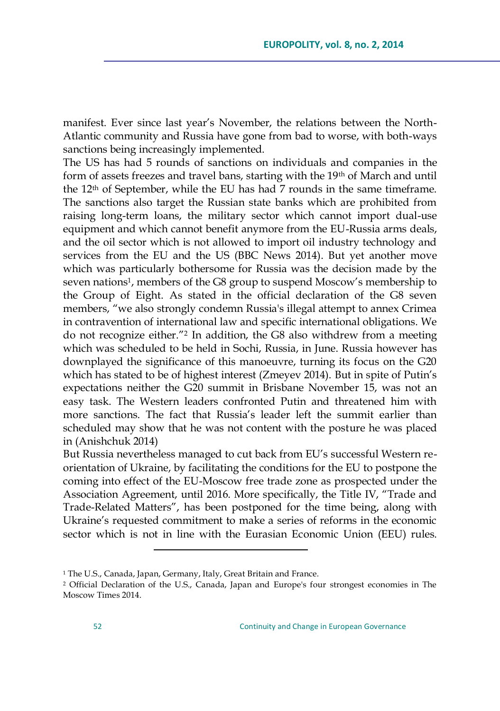manifest. Ever since last year's November, the relations between the North-Atlantic community and Russia have gone from bad to worse, with both-ways sanctions being increasingly implemented.

The US has had 5 rounds of sanctions on individuals and companies in the form of assets freezes and travel bans, starting with the 19th of March and until the 12th of September, while the EU has had 7 rounds in the same timeframe. The sanctions also target the Russian state banks which are prohibited from raising long-term loans, the military sector which cannot import dual-use equipment and which cannot benefit anymore from the EU-Russia arms deals, and the oil sector which is not allowed to import oil industry technology and services from the EU and the US (BBC News 2014). But yet another move which was particularly bothersome for Russia was the decision made by the seven nations<sup>1</sup>, members of the G8 group to suspend Moscow's membership to the Group of Eight. As stated in the official declaration of the G8 seven members, "we also strongly condemn Russia's illegal attempt to annex Crimea in contravention of international law and specific international obligations. We do not recognize either."<sup>2</sup> In addition, the G8 also withdrew from a meeting which was scheduled to be held in Sochi, Russia, in June. Russia however has downplayed the significance of this manoeuvre, turning its focus on the G20 which has stated to be of highest interest (Zmeyev 2014). But in spite of Putin's expectations neither the G20 summit in Brisbane November 15, was not an easy task. The Western leaders confronted Putin and threatened him with more sanctions. The fact that Russia's leader left the summit earlier than scheduled may show that he was not content with the posture he was placed in (Anishchuk 2014)

But Russia nevertheless managed to cut back from EU's successful Western reorientation of Ukraine, by facilitating the conditions for the EU to postpone the coming into effect of the EU-Moscow free trade zone as prospected under the Association Agreement, until 2016. More specifically, the Title IV, "Trade and Trade-Related Matters", has been postponed for the time being, along with Ukraine's requested commitment to make a series of reforms in the economic sector which is not in line with the Eurasian Economic Union (EEU) rules.

<sup>&</sup>lt;sup>1</sup> The U.S., Canada, Japan, Germany, Italy, Great Britain and France.

<sup>2</sup> Official Declaration of the U.S., Canada, Japan and Europe's four strongest economies in The Moscow Times 2014.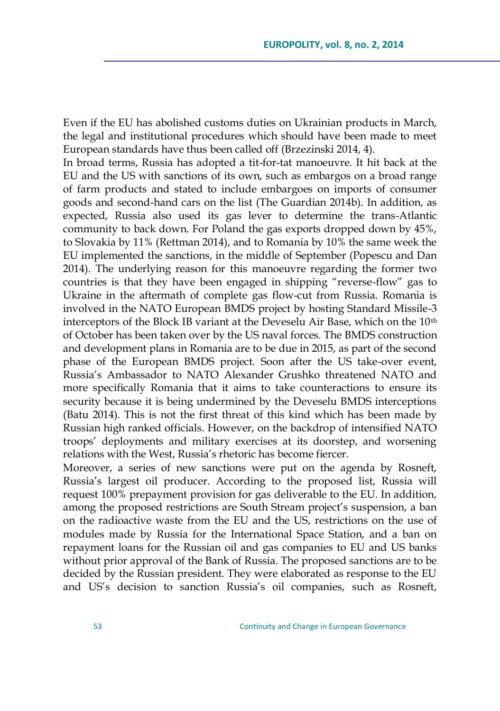Even if the EU has abolished customs duties on Ukrainian products in March, the legal and institutional procedures which should have been made to meet European standards have thus been called off (Brzezinski 2014, 4).

In broad terms, Russia has adopted a tit-for-tat manoeuvre. It hit back at the EU and the US with sanctions of its own, such as embargos on a broad range of farm products and stated to include embargoes on imports of consumer goods and second-hand cars on the list (The Guardian 2014b). In addition, as expected, Russia also used its gas lever to determine the trans-Atlantic community to back down. For Poland the gas exports dropped down by 45%, to Slovakia by 11% (Rettman 2014), and to Romania by 10% the same week the EU implemented the sanctions, in the middle of September (Popescu and Dan 2014). The underlying reason for this manoeuvre regarding the former two countries is that they have been engaged in shipping "reverse-flow" gas to Ukraine in the aftermath of complete gas flow-cut from Russia. Romania is involved in the NATO European BMDS project by hosting Standard Missile-3 interceptors of the Block IB variant at the Deveselu Air Base, which on the 10th of October has been taken over by the US naval forces. The BMDS construction and development plans in Romania are to be due in 2015, as part of the second phase of the European BMDS project. Soon after the US take-over event, Russia's Ambassador to NATO Alexander Grushko threatened NATO and more specifically Romania that it aims to take counteractions to ensure its security because it is being undermined by the Deveselu BMDS interceptions (Batu 2014). This is not the first threat of this kind which has been made by Russian high ranked officials. However, on the backdrop of intensified NATO troops' deployments and military exercises at its doorstep, and worsening relations with the West, Russia's rhetoric has become fiercer.

Moreover, a series of new sanctions were put on the agenda by Rosneft, Russia's largest oil producer. According to the proposed list, Russia will request 100% prepayment provision for gas deliverable to the EU. In addition, among the proposed restrictions are South Stream project's suspension, a ban on the radioactive waste from the EU and the US, restrictions on the use of modules made by Russia for the International Space Station, and a ban on repayment loans for the Russian oil and gas companies to EU and US banks without prior approval of the Bank of Russia. The proposed sanctions are to be decided by the Russian president. They were elaborated as response to the EU and US's decision to sanction Russia's oil companies, such as Rosneft,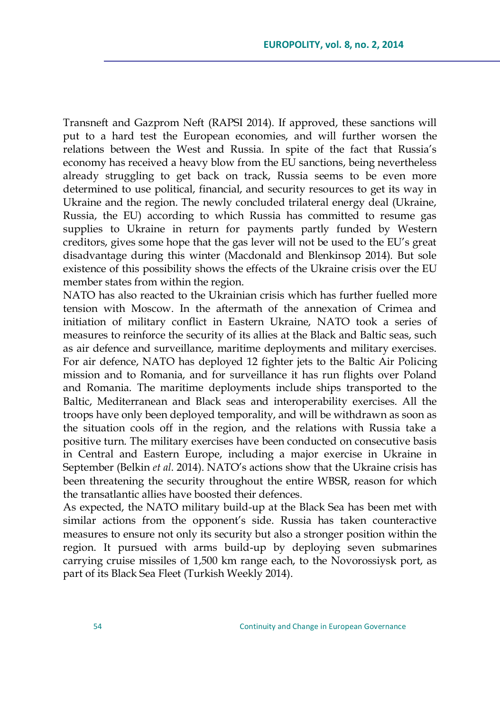Transneft and Gazprom Neft (RAPSI 2014). If approved, these sanctions will put to a hard test the European economies, and will further worsen the relations between the West and Russia. In spite of the fact that Russia's economy has received a heavy blow from the EU sanctions, being nevertheless already struggling to get back on track, Russia seems to be even more determined to use political, financial, and security resources to get its way in Ukraine and the region. The newly concluded trilateral energy deal (Ukraine, Russia, the EU) according to which Russia has committed to resume gas supplies to Ukraine in return for payments partly funded by Western creditors, gives some hope that the gas lever will not be used to the EU's great disadvantage during this winter (Macdonald and Blenkinsop 2014). But sole existence of this possibility shows the effects of the Ukraine crisis over the EU member states from within the region.

NATO has also reacted to the Ukrainian crisis which has further fuelled more tension with Moscow. In the aftermath of the annexation of Crimea and initiation of military conflict in Eastern Ukraine, NATO took a series of measures to reinforce the security of its allies at the Black and Baltic seas, such as air defence and surveillance, maritime deployments and military exercises. For air defence, NATO has deployed 12 fighter jets to the Baltic Air Policing mission and to Romania, and for surveillance it has run flights over Poland and Romania. The maritime deployments include ships transported to the Baltic, Mediterranean and Black seas and interoperability exercises. All the troops have only been deployed temporality, and will be withdrawn as soon as the situation cools off in the region, and the relations with Russia take a positive turn. The military exercises have been conducted on consecutive basis in Central and Eastern Europe, including a major exercise in Ukraine in September (Belkin *et al*. 2014). NATO's actions show that the Ukraine crisis has been threatening the security throughout the entire WBSR, reason for which the transatlantic allies have boosted their defences.

As expected, the NATO military build-up at the Black Sea has been met with similar actions from the opponent's side. Russia has taken counteractive measures to ensure not only its security but also a stronger position within the region. It pursued with arms build-up by deploying seven submarines carrying cruise missiles of 1,500 km range each, to the Novorossiysk port, as part of its Black Sea Fleet (Turkish Weekly 2014).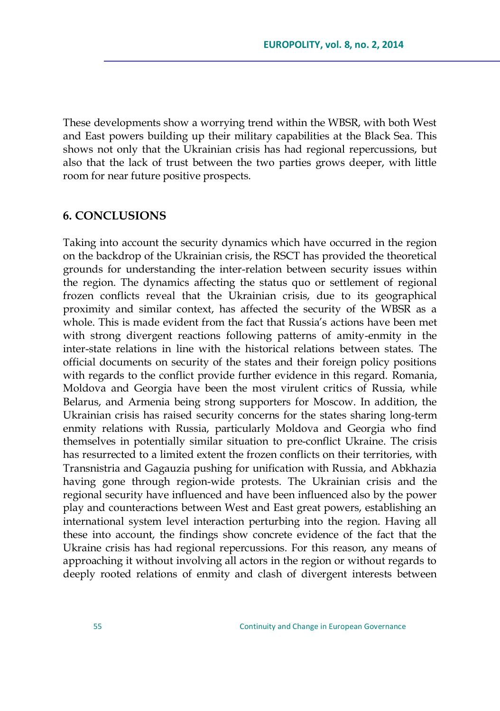These developments show a worrying trend within the WBSR, with both West and East powers building up their military capabilities at the Black Sea. This shows not only that the Ukrainian crisis has had regional repercussions, but also that the lack of trust between the two parties grows deeper, with little room for near future positive prospects.

#### **6. CONCLUSIONS**

Taking into account the security dynamics which have occurred in the region on the backdrop of the Ukrainian crisis, the RSCT has provided the theoretical grounds for understanding the inter-relation between security issues within the region. The dynamics affecting the status quo or settlement of regional frozen conflicts reveal that the Ukrainian crisis, due to its geographical proximity and similar context, has affected the security of the WBSR as a whole. This is made evident from the fact that Russia's actions have been met with strong divergent reactions following patterns of amity-enmity in the inter-state relations in line with the historical relations between states. The official documents on security of the states and their foreign policy positions with regards to the conflict provide further evidence in this regard. Romania, Moldova and Georgia have been the most virulent critics of Russia, while Belarus, and Armenia being strong supporters for Moscow. In addition, the Ukrainian crisis has raised security concerns for the states sharing long-term enmity relations with Russia, particularly Moldova and Georgia who find themselves in potentially similar situation to pre-conflict Ukraine. The crisis has resurrected to a limited extent the frozen conflicts on their territories, with Transnistria and Gagauzia pushing for unification with Russia, and Abkhazia having gone through region-wide protests. The Ukrainian crisis and the regional security have influenced and have been influenced also by the power play and counteractions between West and East great powers, establishing an international system level interaction perturbing into the region. Having all these into account, the findings show concrete evidence of the fact that the Ukraine crisis has had regional repercussions. For this reason, any means of approaching it without involving all actors in the region or without regards to deeply rooted relations of enmity and clash of divergent interests between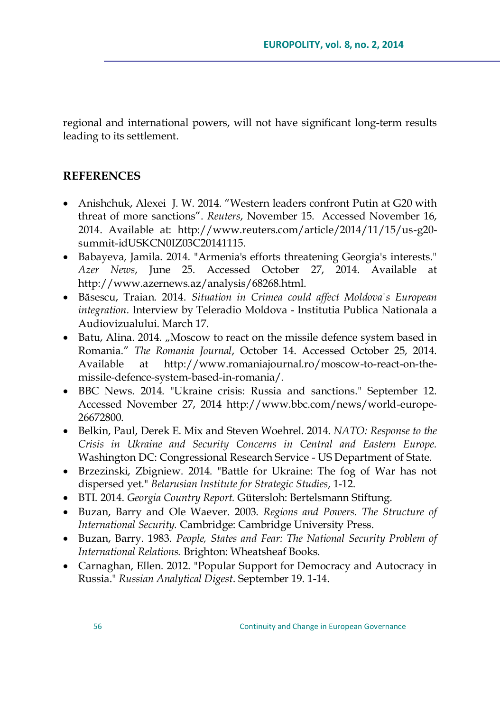regional and international powers, will not have significant long-term results leading to its settlement.

## **REFERENCES**

- Anishchuk, Alexei J. W. 2014. "Western leaders confront Putin at G20 with threat of more sanctions‖. *Reuters*, November 15. Accessed November 16, 2014. Available at: [http://www.reuters.com/article/2014/11/15/us-g20](http://www.reuters.com/article/2014/11/15/us-g20-summit-idUSKCN0IZ03C20141115) [summit-idUSKCN0IZ03C20141115.](http://www.reuters.com/article/2014/11/15/us-g20-summit-idUSKCN0IZ03C20141115)
- Babayeva, Jamila. 2014. "Armenia's efforts threatening Georgia's interests." *Azer News*, June 25. Accessed October 27, 2014. Available at http://www.azernews.az/analysis/68268.html.
- Băsescu, Traian. 2014. *Situation in Crimea could affect Moldova's European integration*. Interview by Teleradio Moldova - Institutia Publica Nationala a Audiovizualului. March 17.
- Batu, Alina. 2014. "Moscow to react on the missile defence system based in Romania.‖ *The Romania Journal*, October 14. Accessed October 25, 2014. Available at http://www.romaniajournal.ro/moscow-to-react-on-themissile-defence-system-based-in-romania/.
- BBC News. 2014. "Ukraine crisis: Russia and sanctions." September 12. Accessed November 27, 2014 http://www.bbc.com/news/world-europe-26672800.
- Belkin, Paul, Derek E. Mix and Steven Woehrel. 2014. *NATO: Response to the Crisis in Ukraine and Security Concerns in Central and Eastern Europe.* Washington DC: Congressional Research Service - US Department of State.
- Brzezinski, Zbigniew. 2014. "Battle for Ukraine: The fog of War has not dispersed yet." *Belarusian Institute for Strategic Studies*, 1-12.
- BTI. 2014. *Georgia Country Report.* Gütersloh: Bertelsmann Stiftung.
- Buzan, Barry and Ole Waever. 2003. *Regions and Powers. The Structure of International Security.* Cambridge: Cambridge University Press.
- Buzan, Barry. 1983. *People, States and Fear: The National Security Problem of International Relations.* Brighton: Wheatsheaf Books.
- Carnaghan, Ellen. 2012. "Popular Support for Democracy and Autocracy in Russia." *Russian Analytical Digest*. September 19. 1-14.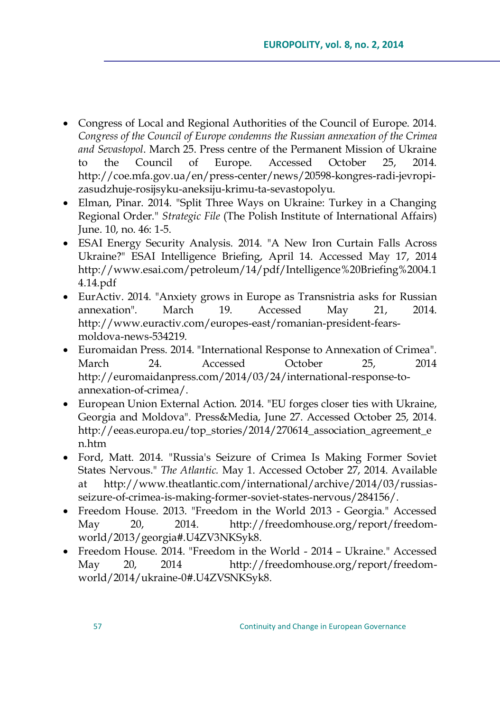- Congress of Local and Regional Authorities of the Council of Europe. 2014. *Congress of the Council of Europe condemns the Russian annexation of the Crimea and Sevastopol*. March 25. Press centre of the Permanent Mission of Ukraine to the Council of Europe. Accessed October 25, 2014. [http://coe.mfa.gov.ua/en/press-center/news/20598-kongres-radi-jevropi](http://coe.mfa.gov.ua/en/press-center/news/20598-kongres-radi-jevropi-zasudzhuje-rosijsyku-aneksiju-krimu-ta-sevastopolyu)[zasudzhuje-rosijsyku-aneksiju-krimu-ta-sevastopolyu.](http://coe.mfa.gov.ua/en/press-center/news/20598-kongres-radi-jevropi-zasudzhuje-rosijsyku-aneksiju-krimu-ta-sevastopolyu)
- Elman, Pinar. 2014. "Split Three Ways on Ukraine: Turkey in a Changing Regional Order." *Strategic File* (The Polish Institute of International Affairs) June. 10, no. 46: 1-5.
- ESAI Energy Security Analysis. 2014. "A New Iron Curtain Falls Across Ukraine?" ESAI Intelligence Briefing, April 14. Accessed May 17, 2014 http://www.esai.com/petroleum/14/pdf/Intelligence%20Briefing%2004.1 4.14.pdf
- EurActiv. 2014. "Anxiety grows in Europe as Transnistria asks for Russian annexation". March 19. Accessed May 21, 2014. http://www.euractiv.com/europes-east/romanian-president-fearsmoldova-news-534219.
- Euromaidan Press. 2014. "International Response to Annexation of Crimea"*.*  March 24. Accessed October 25, 2014 http://euromaidanpress.com/2014/03/24/international-response-toannexation-of-crimea/.
- European Union External Action. 2014. "EU forges closer ties with Ukraine, Georgia and Moldova". Press&Media, June 27. Accessed October 25, 2014. http://eeas.europa.eu/top\_stories/2014/270614\_association\_agreement\_e n.htm
- Ford, Matt. 2014. "Russia's Seizure of Crimea Is Making Former Soviet States Nervous." *The Atlantic.* May 1. Accessed October 27, 2014. Available at http://www.theatlantic.com/international/archive/2014/03/russiasseizure-of-crimea-is-making-former-soviet-states-nervous/284156/.
- Freedom House. 2013. "Freedom in the World 2013 Georgia." Accessed May 20, 2014. http://freedomhouse.org/report/freedomworld/2013/georgia#.U4ZV3NKSyk8.
- Freedom House. 2014. "Freedom in the World 2014 Ukraine." Accessed May 20, 2014 http://freedomhouse.org/report/freedomworld/2014/ukraine-0#.U4ZVSNKSyk8.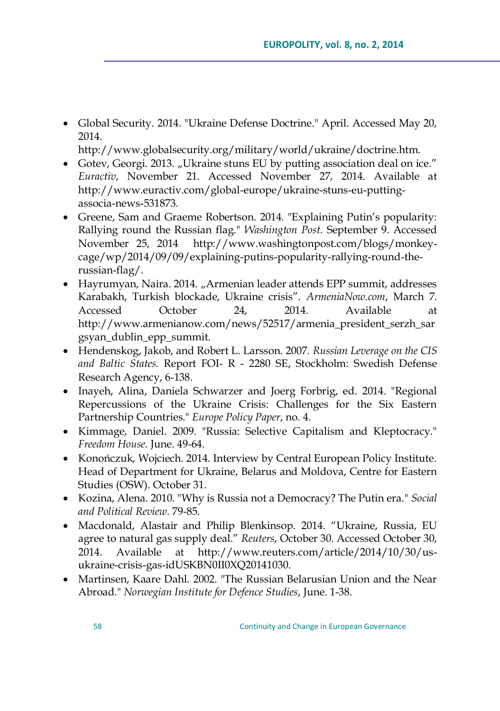Global Security. 2014. "Ukraine Defense Doctrine." April. Accessed May 20, 2014.

http://www.globalsecurity.org/military/world/ukraine/doctrine.htm.

- Gotev, Georgi. 2013. "Ukraine stuns EU by putting association deal on ice." *Euractiv*, November 21. Accessed November 27, 2014. Available at http://www.euractiv.com/global-europe/ukraine-stuns-eu-puttingassocia-news-531873.
- Greene, Sam and Graeme Robertson. 2014. "Explaining Putin's popularity: Rallying round the Russian flag." *Washington Post.* September 9. Accessed November 25, 2014 http://www.washingtonpost.com/blogs/monkeycage/wp/2014/09/09/explaining-putins-popularity-rallying-round-therussian-flag/.
- Hayrumyan, Naira. 2014. "Armenian leader attends EPP summit, addresses Karabakh, Turkish blockade, Ukraine crisis‖. *ArmeniaNow.com*, March 7. Accessed October 24, 2014. Available at http://www.armenianow.com/news/52517/armenia\_president\_serzh\_sar gsyan\_dublin\_epp\_summit.
- Hendenskog, Jakob, and Robert L. Larsson. 2007. *Russian Leverage on the CIS and Baltic States.* Report FOI- R - 2280 SE, Stockholm: Swedish Defense Research Agency, 6-138.
- Inayeh, Alina, Daniela Schwarzer and Joerg Forbrig, ed. 2014. "Regional Repercussions of the Ukraine Crisis: Challenges for the Six Eastern Partnership Countries." *Europe Policy Paper*, no. 4.
- Kimmage, Daniel. 2009. "Russia: Selective Capitalism and Kleptocracy." *Freedom House*. June. 49-64.
- Konończuk, Wojciech. 2014. Interview by Central European Policy Institute. Head of Department for Ukraine, Belarus and Moldova, Centre for Eastern Studies (OSW). October 31.
- Kozina, Alena. 2010. "Why is Russia not a Democracy? The Putin era." *Social and Political Review*. 79-85.
- Macdonald, Alastair and Philip Blenkinsop. 2014. "Ukraine, Russia, EU agree to natural gas supply deal." *Reuters*, October 30. Accessed October 30, 2014. Available at http://www.reuters.com/article/2014/10/30/usukraine-crisis-gas-idUSKBN0II0XQ20141030.
- Martinsen, Kaare Dahl. 2002. "The Russian Belarusian Union and the Near Abroad." *Norwegian Institute for Defence Studies*, June. 1-38.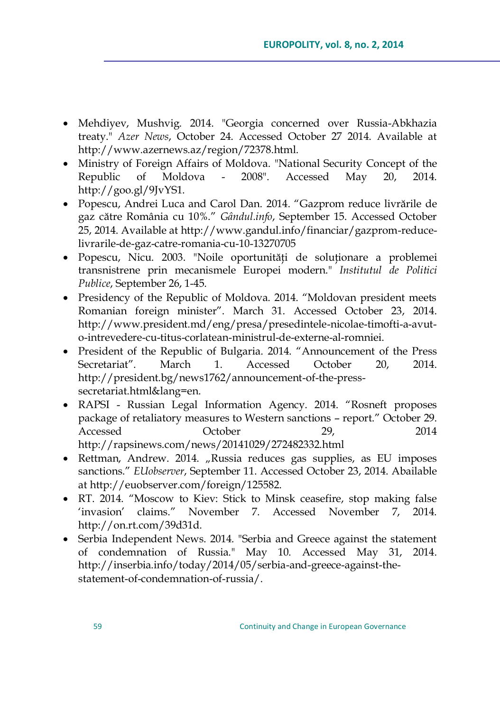- Mehdiyev, Mushvig. 2014. "Georgia concerned over Russia-Abkhazia treaty." *Azer News*, October 24. Accessed October 27 2014. Available at http://www.azernews.az/region/72378.html.
- Ministry of Foreign Affairs of Moldova. "National Security Concept of the Republic of Moldova - 2008". Accessed May 20, 2014. http://goo.gl/9JvYS1.
- Popescu, Andrei Luca and Carol Dan. 2014. "Gazprom reduce livrările de gaz către România cu 10%.‖ *Gândul.info*, September 15. Accessed October 25, 2014. Available at http://www.gandul.info/financiar/gazprom-reducelivrarile-de-gaz-catre-romania-cu-10-13270705
- Popescu, Nicu. 2003. "Noile oportunităţi de soluţionare a problemei transnistrene prin mecanismele Europei modern." *Institutul de Politici Publice*, September 26, 1-45.
- Presidency of the Republic of Moldova. 2014. "Moldovan president meets Romanian foreign minister". March 31. Accessed October 23, 2014. http://www.president.md/eng/presa/presedintele-nicolae-timofti-a-avuto-intrevedere-cu-titus-corlatean-ministrul-de-externe-al-romniei.
- President of the Republic of Bulgaria. 2014. "Announcement of the Press Secretariat". March 1. Accessed October 20. 2014. http://president.bg/news1762/announcement-of-the-presssecretariat.html&lang=en.
- RAPSI Russian Legal Information Agency. 2014. "Rosneft proposes package of retaliatory measures to Western sanctions - report." October 29. Accessed October 29, 2014 http://rapsinews.com/news/20141029/272482332.html
- $\bullet$  Rettman, Andrew. 2014. "Russia reduces gas supplies, as EU imposes sanctions." *EUobserver*, September 11. Accessed October 23, 2014. Abailable at http://euobserver.com/foreign/125582.
- RT. 2014. "Moscow to Kiev: Stick to Minsk ceasefire, stop making false 'invasion' claims." November 7. Accessed November 7, 2014. http://on.rt.com/39d31d.
- Serbia Independent News. 2014. "Serbia and Greece against the statement of condemnation of Russia." May 10. Accessed May 31, 2014. http://inserbia.info/today/2014/05/serbia-and-greece-against-thestatement-of-condemnation-of-russia/.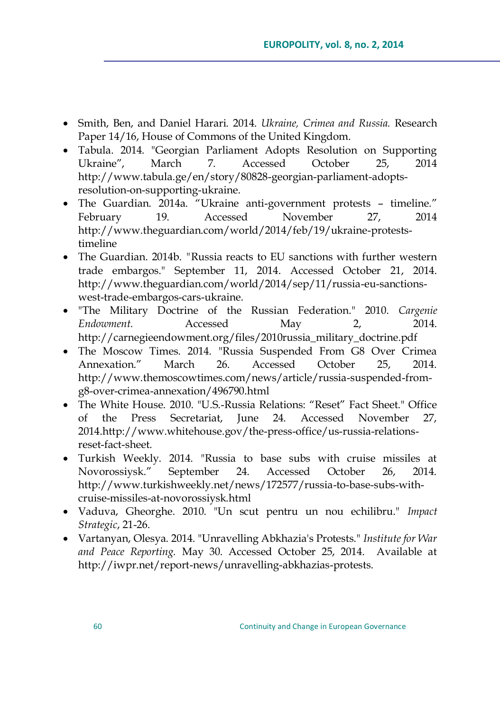- Smith, Ben, and Daniel Harari. 2014. *Ukraine, Crimea and Russia.* Research Paper 14/16, House of Commons of the United Kingdom.
- Tabula. 2014. "Georgian Parliament Adopts Resolution on Supporting Ukraine", March 7. Accessed October 25, 2014 http://www.tabula.ge/en/story/80828-georgian-parliament-adoptsresolution-on-supporting-ukraine.
- The Guardian. 2014a. <sup>"</sup>Ukraine anti-government protests timeline." February 19. Accessed November 27, 2014 http://www.theguardian.com/world/2014/feb/19/ukraine-proteststimeline
- The Guardian. 2014b. *"*Russia reacts to EU sanctions with further western trade embargos." September 11, 2014. Accessed October 21, 2014. [http://www.theguardian.com/world/2014/sep/11/russia-eu-sanctions](http://www.theguardian.com/world/2014/sep/11/russia-eu-sanctions-west-trade-embargos-cars-ukraine)[west-trade-embargos-cars-ukraine.](http://www.theguardian.com/world/2014/sep/11/russia-eu-sanctions-west-trade-embargos-cars-ukraine)
- "The Military Doctrine of the Russian Federation." 2010. *Cargenie Endowment.* Accessed May 2, 2014. http://carnegieendowment.org/files/2010russia\_military\_doctrine.pdf
- The Moscow Times. 2014. "Russia Suspended From G8 Over Crimea Annexation.‖ March 26. Accessed October 25, 2014. http://www.themoscowtimes.com/news/article/russia-suspended-fromg8-over-crimea-annexation/496790.html
- The White House. 2010. "U.S.-Russia Relations: "Reset" Fact Sheet." Office of the Press Secretariat, June 24. Accessed November 27, 2014.http://www.whitehouse.gov/the-press-office/us-russia-relationsreset-fact-sheet.
- Turkish Weekly. 2014. "Russia to base subs with cruise missiles at Novorossiysk.‖ September 24. Accessed October 26, 2014. http://www.turkishweekly.net/news/172577/russia-to-base-subs-withcruise-missiles-at-novorossiysk.html
- Vaduva, Gheorghe. 2010. "Un scut pentru un nou echilibru." *Impact Strategic*, 21-26.
- Vartanyan, Olesya. 2014. "Unravelling Abkhazia's Protests." *Institute for War and Peace Reporting.* May 30. Accessed October 25, 2014. Available at http://iwpr.net/report-news/unravelling-abkhazias-protests.